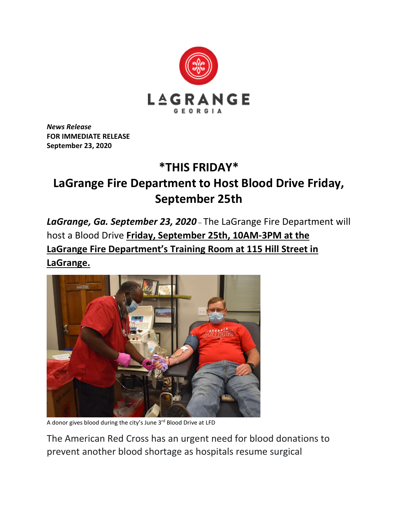

*News Release* **FOR IMMEDIATE RELEASE September 23, 2020**

## **\*THIS FRIDAY\***

## **LaGrange Fire Department to Host Blood Drive Friday, September 25th**

*LaGrange, Ga. September 23, 2020* – The LaGrange Fire Department will host a Blood Drive **Friday, September 25th, 10AM-3PM at the LaGrange Fire Department's Training Room at 115 Hill Street in LaGrange.**



A donor gives blood during the city's June 3<sup>rd</sup> Blood Drive at LFD

The American Red Cross has an urgent need for blood donations to prevent another blood shortage as hospitals resume surgical